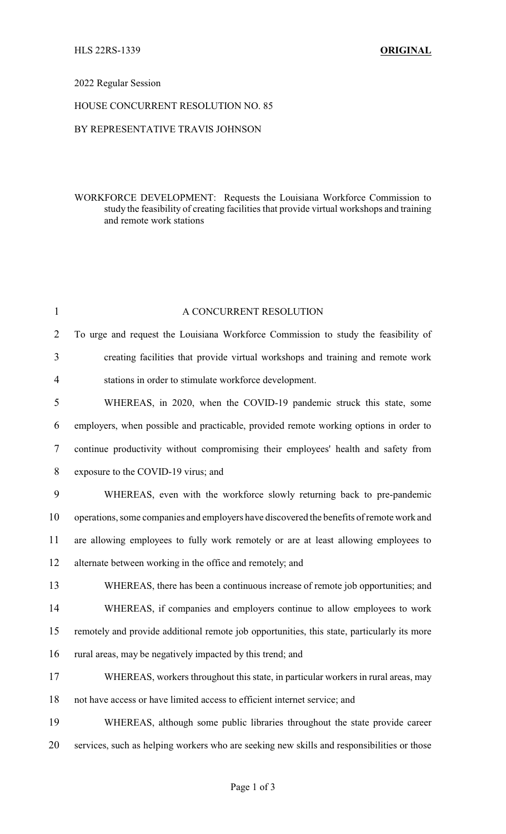#### 2022 Regular Session

## HOUSE CONCURRENT RESOLUTION NO. 85

## BY REPRESENTATIVE TRAVIS JOHNSON

## WORKFORCE DEVELOPMENT: Requests the Louisiana Workforce Commission to study the feasibility of creating facilities that provide virtual workshops and training and remote work stations

| $\mathbf{1}$   | A CONCURRENT RESOLUTION                                                                     |
|----------------|---------------------------------------------------------------------------------------------|
| $\overline{2}$ | To urge and request the Louisiana Workforce Commission to study the feasibility of          |
| 3              | creating facilities that provide virtual workshops and training and remote work             |
| $\overline{4}$ | stations in order to stimulate workforce development.                                       |
| 5              | WHEREAS, in 2020, when the COVID-19 pandemic struck this state, some                        |
| 6              | employers, when possible and practicable, provided remote working options in order to       |
| $\tau$         | continue productivity without compromising their employees' health and safety from          |
| 8              | exposure to the COVID-19 virus; and                                                         |
| 9              | WHEREAS, even with the workforce slowly returning back to pre-pandemic                      |
| 10             | operations, some companies and employers have discovered the benefits of remote work and    |
| 11             | are allowing employees to fully work remotely or are at least allowing employees to         |
| 12             | alternate between working in the office and remotely; and                                   |
| 13             | WHEREAS, there has been a continuous increase of remote job opportunities; and              |
| 14             | WHEREAS, if companies and employers continue to allow employees to work                     |
| 15             | remotely and provide additional remote job opportunities, this state, particularly its more |
| 16             | rural areas, may be negatively impacted by this trend; and                                  |
| 17             | WHEREAS, workers throughout this state, in particular workers in rural areas, may           |
| 18             | not have access or have limited access to efficient internet service; and                   |
| 19             | WHEREAS, although some public libraries throughout the state provide career                 |
| 20             | services, such as helping workers who are seeking new skills and responsibilities or those  |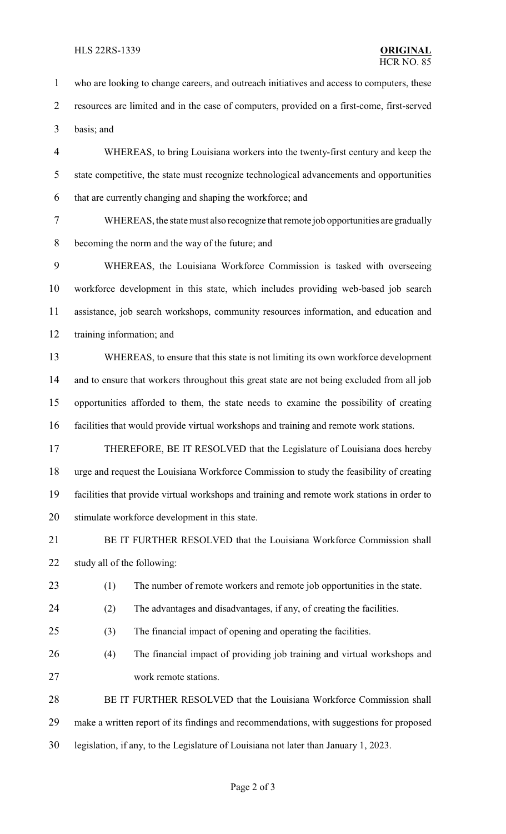#### HLS 22RS-1339 **ORIGINAL**

 who are looking to change careers, and outreach initiatives and access to computers, these resources are limited and in the case of computers, provided on a first-come, first-served basis; and WHEREAS, to bring Louisiana workers into the twenty-first century and keep the state competitive, the state must recognize technological advancements and opportunities that are currently changing and shaping the workforce; and WHEREAS, the state must also recognize that remote job opportunities are gradually becoming the norm and the way of the future; and WHEREAS, the Louisiana Workforce Commission is tasked with overseeing workforce development in this state, which includes providing web-based job search assistance, job search workshops, community resources information, and education and training information; and WHEREAS, to ensure that this state is not limiting its own workforce development 14 and to ensure that workers throughout this great state are not being excluded from all job opportunities afforded to them, the state needs to examine the possibility of creating facilities that would provide virtual workshops and training and remote work stations. THEREFORE, BE IT RESOLVED that the Legislature of Louisiana does hereby urge and request the Louisiana Workforce Commission to study the feasibility of creating facilities that provide virtual workshops and training and remote work stations in order to stimulate workforce development in this state. 21 BE IT FURTHER RESOLVED that the Louisiana Workforce Commission shall study all of the following: (1) The number of remote workers and remote job opportunities in the state. (2) The advantages and disadvantages, if any, of creating the facilities. (3) The financial impact of opening and operating the facilities. (4) The financial impact of providing job training and virtual workshops and work remote stations. 28 BE IT FURTHER RESOLVED that the Louisiana Workforce Commission shall make a written report of its findings and recommendations, with suggestions for proposed legislation, if any, to the Legislature of Louisiana not later than January 1, 2023.